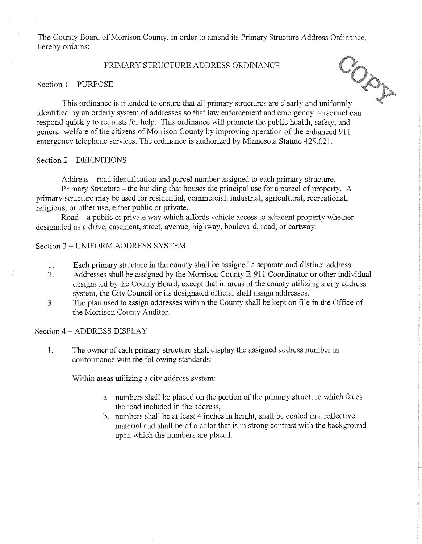The County Board of Morrison County, in order to amend its Primary Structure Address Ordinance, hereby ordains:

# PRIMARY STRUCTURE ADDRESS ORDINANCE

#### Section 1 - PURPOSE



PRIMARY STRUCTUKE ALLANDER<br>This ordinance is intended to ensure that all primary structures are clearly and uniformly identified by an orderly system of addresses so that law enforcement and emergency personnel can respond quickly to requests for help. This ordinance will promote the public health, safety, and general welfare of the citizens of Morrison County by improving operation of the enhanced 911 emergency telephone services. The ordinance is authorized by Minnesota Statute 429.021.

#### Section 2 - DEFINITIONS

Address – road identification and parcel number assigned to each primary structure.

Primary Structure - the building that houses the principal use for a parcel of property. A primary structure may be used for residential, commercial, industrial, agricultural, recreational, religious, or other use, either public or private.

Road - a public or private way which affords vehicle access to adjacent property whether designated as a drive, easement, street, avenue, highway, boulevard, road, or cartway.

# Section 3 - UNIFORM ADDRESS SYSTEM

- 1. Each primary structure in the county shall be assigned a separate and distinct address.
- 2. Addresses shall be assigned by the Morrison County E-911 Coordinator or other individual designated by the County Board, except that in areas of the county utilizing a city address system, the City Council or its designated official shall assign addresses.
- 3. The plan used to assign addresses within the County shall be kept on file in the Office of the Morrison County Auditor.

## Section 4 - ADDRESS DISPLAY

1. The owner of each primary structure shall display the assigned address number in conformance with the following standards:

Within areas utilizing a city address system:

- a. numbers shall be placed on the portion of the primary structure which faces the road included in the address,
- b. numbers shall be at least 4 inches in height, shall be coated in a reflective material and shall be of a color that is in strong contrast with the background upon which the numbers are placed.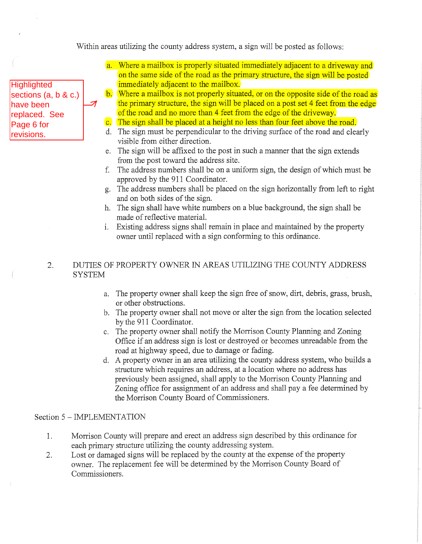Within areas utilizing the county address system, a sign will be posted as follows:

# **Highlighted** sections (a, b & c.) have been replaced. See Page 6 for revisions.

↗

- a. Where a mailbox is properly situated immediately adjacent to a driveway and on the same side of the road as the primary structure, the sign will be posted immediately adjacent to the mailbox.
- b. Where a mailbox is not properly situated, or on the opposite side of the road as the primary structure, the sign will be placed on a post set 4 feet from the edge of the road and no more than 4 feet from the edge of the driveway.
- c. The sign shall be placed at a height no less than four feet above the road.
- d. The sign must be perpendicular to the driving surface of the road and clearly visible from either direction.
- e. The sign will be affixed to the post in such a manner that the sign extends from the *post* toward the address site.
- f. The address numbers shall be on a uniform sign, the design ofwhich must be approved by the 911 Coordinator.
- g. The address numbers shall be placed on the sign horizontally from left to right and on both sides of the sign.
- h. The sign shall have white numbers on a blue background, the sign shall be made of reflective material.
- 1. Existing address signs shall remain in place and maintained by the property owner until replaced with a sign conforming to this ordinance.

# 2. DUTIES OF PROPERTY OWNER IN AREAS UTILIZING THE COUNTY ADDRESS **SYSTEM**

- a. The property owner shall keep the sign free of snow, dirt, debris, grass, brush, or other obstructions.
- b. The property owner shall not move or alter the sign from the location selected by the 911 Coordinator.
- c. The property owner shall notify the Morrison County Planning and Zoning Office if an address sign is lost or destroyed or becomes umeadable from the road at highway speed, due to damage or fading.
- d. A property owner in an area utilizing the county address system, who builds a structure which requires an address, at a location where no address has previously been assigned, shall apply to the Morrison County Planning and Zoning office for assignment of an address and shall pay a fee determined by the Morrison County Board of Commissioners.

# Section 5 - IMPLEMENTATION

- 1. Morrison County will prepare and erect an address sign described by this ordinance for each primary structure utilizing the county addressing system.
- 2. Lost or damaged signs will be replaced by the county at the expense of the property owner. The replacement fee will be determined by the Morrison County Board of Commissioners.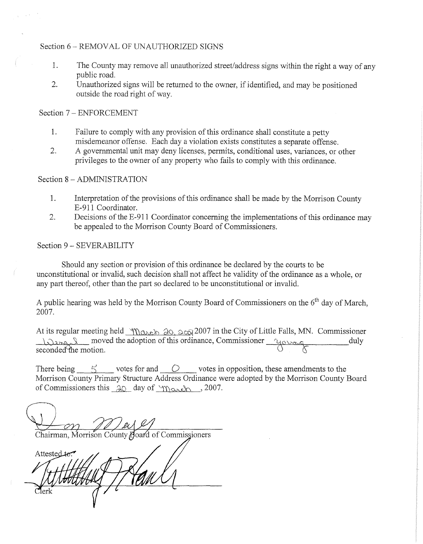# Section 6 - REMOVAL OF UNAUTHORIZED SIGNS

- 1. The County may remove all unauthorized street/address signs within the right a way of any public road.
- 2. Unauthorized signs will be returned to the owner, if identified, and may be positioned outside the road right of way.

Section 7 - ENFORCEMENT

- 1. Failure to comply with any provision of this ordinance shall constitute a petty misdemeanor offense. Each day a violation exists constitutes a separate offense.
- 2. A governmental unit may deny licenses, permits, conditional uses, variances, or other privileges to the owner of any property who fails to comply with this ordinance.

## Section 8 - ADMINISTRATION

- 1. Interpretation of the provisions of this ordinance shall be made by the Morrison County E-911 Coordinator.
- 2. Decisions of the E-911 Coordinator concerning the implementations of this ordinance may be appealed to the Morrison County Board of Commissioners.

## Section 9 - SEVERABILITY

Should any section or provision of this ordinance be declared by the courts to be unconstitutional or invalid, such decision shall not affect he validity of the ordinance as a whole, or any part thereof, other than the part so declared to be unconstitutional or invalid.

A public hearing was held by the Morrison County Board of Commissioners on the  $6<sup>th</sup>$  day of March. 2007.

At its regular meeting held *"\\\)* and : 2007 in the City of Little Falls, MN. Commissioner  $\frac{1}{\sqrt{2\pi\kappa^2}}$  moved the adoption of this ordinance, Commissioner  $\frac{1}{\sqrt{2\pi\kappa^2}}$  duly seconded the motion.  $\mathcal{O}$  of  $\mathcal{S}$ 

There being  $\lesssim$  votes for and  $\ddot{\circ}$  votes in opposition, these amendments to the Morrison County Primary Structure Address Ordinance were adopted by the Morrison County Board of Commissioners this  $\Delta Q$  day of 'March , 2007.

COOL OF PLAY<br>Chairman, Morrison County Board of Commissioners Attested to: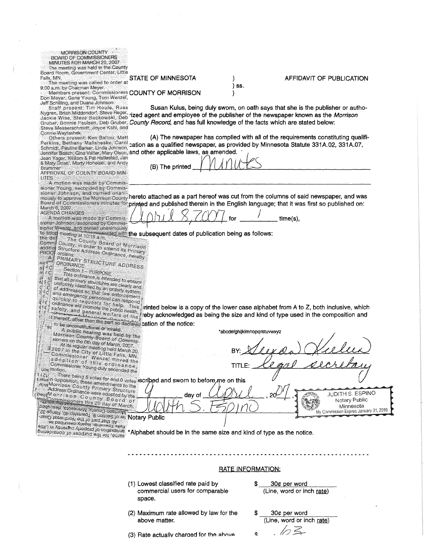#### MORRISON COUNTY . **BOARD OF COMMISSIONERS** MINUTES FOR MARCH 20, 2007

The meeting was held in the County<br>Board Room, Government Center, Little Falls, MN.

The meeting was called to order at 9:00 a.m. by Chairman Meyer.<br>
Members present: Commissioners COUNTY OF MORRISON

Don Meyer, Gene Young, Tom Wenzel, Jeff Schilling, and Duane Johnson.

Steve Messerschmidt, Joyce Kahl, and Connie Waytashek.

Others present: Ken Ballou, Matt Schmidt, Pauline Barker, Linda Johnson,

& Mary Dose', Marty Hohelsel, and Andy Brummer<br>APPROVAL OF COUNTY BOARD MIN-

**UTES** A motion was made by Commis-

sioner Young, seconded by Commis-

March 6, 2007.<br>AGENDA CHANGES

 $\frac{1}{2}$ 

p<br>C

S.

A motion was made by Commissioner Johnson, seconded by Commissioner Wenzel, and carried unanimously

sioner weazer, and carried una<br>to adop meeting at 10:18 a.m.<br>the del The C D18 a.m. sented with the subsequent dates of publication being as follows:

The County Board<br>County Board of Morrison<br>County: in order to amend its Prinary<br>Structure Address Ordinance, hereafy<br>ordains: Comm Structure Address Ordinance, hereby<br>Ordinance Address Ordinance, hereby<br>PRIMARY STRUGE addition PROCI  $\mathbb A$  $\begin{bmatrix} 1 \\ 1 \\ C \end{bmatrix}$ 

orgains:<br>PRIMARY STRUCTURE ADDRESS<br>ORDINANCE<br>Section 1 Pins ORDINANCE Section 1 - PURPOSE<br>This ordinance

Unction 1 – PURPOSE<br>This ordinance is intended to ensure<br>Lall primary structures are clearly next I has ordinance is intended to ensure<br>that all primary structures are clearly and<br>uniformly identified by an orderly surand<br>of addresses  $r\frac{u}{|c|}$ that all primary structures in ended to ensure<br>uniformly identified by an orderly state of addresses so that law<br>and ensures is that law enforcement<br>and emergency unionnly identified by an arc clearly and<br>and emergency so that law enforcement<br>quickly to the proposition of the comment  $\tilde{\varepsilon}_G^{\, \, \, \! \! G}$ 

 $\sigma_{\rm sc}$  to be unconstitutional or invalid.

or unconstitutional or invalid.<br>
Morrison County Board of Learning<br>
Morrison County Board of Commis-<br>
At its of the 6th day of March 2002<br>
At its of the 6th day of March 2002 sioners on the 6th day of Marin Dividends<br>At its regular meeting half, 2007.<br>2007. At its regular meeting held March, 2007.<br>The the City of Little Fall March 20, At its regular meeting held March, 2007.<br>
Commissioner Wenzel moved the City of Little Falls, MN<br>
a do ption of this ordinance<br>
Commissioner Young duly seconded the<br>
Commissioner Young duly seconded the<br>
Syncifon.

uos motion. 2 1)<br>
2 1 There being 5 votes for and 0 votes **iscribed and sworn to before me on this**<br>
1/2 1)<br>
2 1/2 1)<br>
2 1)<br>
2 1)<br>
2 1)<br>
2 1)<br>
2 1)<br>
2 1)<br>
2 1)<br>
2 1)<br>
2 1)<br>
2 1)<br>
2 1)<br>
2 1)<br>
2 1)<br>
2 1)<br>
2 1)<br>
2 1)<br>
2 1)<br>
2 1)<br>
2 1)<br>
2

extracting County Primary Structure<br>Modress Ordinance were adopted by the<br>Commission County Room

STATE OF MINNESOTA

Susan Kulus, being duly sworn, on oath says that she is the publisher or authoagent and employee of the publisher of the newspaper known as the Morrison Gruber, Bonnie Paulsen, Deb Gruber, County Record, and has full knowledge of the facts which are stated below:

) ss.

(A) The newspaper has complied with all of the requirements constituting qualifi-Perkins, Bethany Malisheske, Carol cation as a qualified newspaper, as provided by Minnesota Statute 331A.02, 331A.07,

nd other applicable laws, as amended.<br>
(B) The printed  $\text{MINUS}$ 

sioner Johnson, and carried unants.<br>mously to approve the Morrison County h**ereto attached as a part hereof was cut from the columns of said newspaper, and was** 

ripted and published therein in the English language; that it was first so published on:<br> $\bigcup_{i} \bigcap_{i} \bigcup_{j} \bigcup_{j} \bigcup_{j} \bigcap_{j} \bigcup_{j} \bigcap_{j} \bigcap_{j} \bigcap_{j} \bigcap_{j} \bigcap_{j} \bigcap_{j} \bigcap_{j} \bigcap_{j} \bigcap_{j} \bigcap_{j} \bigcap_{j} \bigcap_{j} \bigcap_{j} \bigcap_{j} \bigcap_{j$ 

y acknowledged as being the size and kind of type used in the composition and ation of the notice:

inted below is a copy of the lower case alphabet from A to Z, both inclusive, which

\*abcdefghijklmnopqrstuvwxyz BY: Slexan BY: <u>Neeran Heeleen</u>

() 1/1 .' Minnesota r l .,"" My Commission Expires January 31, <sup>2010</sup>

Notary Public

Maress Ordinance were adopted by the<br>Peut Morrison County Board of<br>Tunos and Separaties this 20 day of March,<br>Peut Sespi enoseiurly Alungo lines<br>Present the Separation

\*Alphabet should be in the same size and kind of type as the notice.

- RATE INFORMATION:
- (1) Lowest classified rate paid by commercial users for comparable space.

day of

(2) Maximum rate allowed by law for the above matter.

(3) Rate actually charoed for the  $abov\in$ 

 $30¢$  per word (Line, word or inch rate)

### ) AFFIDAVIT OF PUBLICATION

 $30¢$  per word  $(Line, word or inch rate)$  $1/2$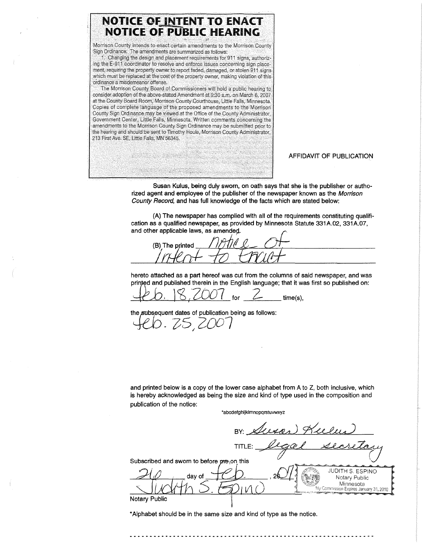

AFFIDAVIT OF PUBLICATION

Susan Kulus, being duly sworn, on oath says that she is the publisher or authorized agent and employee of the publisher of the newspaper known as the Morrison County Record, and has full knowledge of the facts which are stated below:

(A) The newspaper has complied with all of the requirements constituting qualification as a qualified newspaper, as provided by Minnesota Statute 331A.02, 331A.07, and other applicable laws, as amended.

(B) The printed  $\frac{1}{10}$   $\frac{1}{10}$   $\frac{1}{10}$   $\frac{1}{10}$   $\frac{1}{10}$ 

hereto attached as a part hereof was cut from the columns of said newspaper, and was printed and published therein in the English language; that it was first so published on:

\ b. 18, 2007 for 2 time(s).

the subsequent dates of publication being as follows:

9. 25, 2007

and printed below is a copy of the lower case alphabet from A to Z, both inclusive, which is hereby acknowledged as being the size and kind of type used in the composition and publication of the notice:

'abcdefghijklmnopqrstuvwxyz

 $BY: Auxo)$  Keeley TITLE: *Degrel secretary* SUbscri~ed and sworn to bef01ere,on, "';5 .'.: ...".':~." <sup>0</sup> '--L~ *rVlp,,;* JUDITH S. ESPINO fu day of <sup>J</sup> ( A), ,2fJ.d..{.... . Not", P"blio Experiment to before the on this<br>
day of  $\bigcirc$  .  $\bigcirc$  .  $\bigcirc$  .  $\bigcirc$  .  $\bigcirc$  .  $\bigcirc$  .  $\bigcirc$  .  $\bigcirc$  .  $\bigcirc$  .  $\bigcirc$  .  $\bigcirc$  .  $\bigcirc$  .  $\bigcirc$  .  $\bigcirc$  .  $\bigcirc$  .  $\bigcirc$  .  $\bigcirc$  .  $\bigcirc$  .  $\bigcirc$  .  $\bigcirc$  .  $\bigcirc$  .  $\bigcirc$  .  $\bigcirc$ Notary Public 1

\*Alphabet should be in the same size and kind of type as the notice.

 $\frac{1}{2}$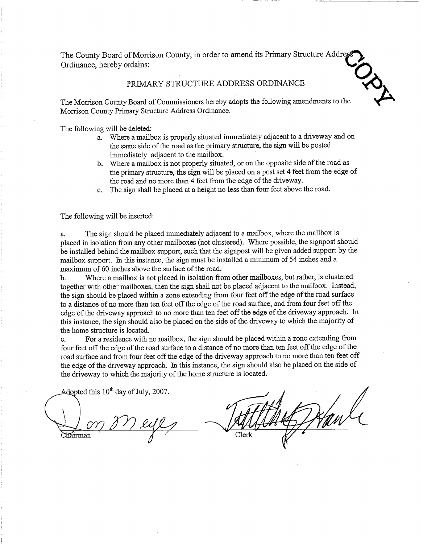The County Board of Morrison County, in order to amend its Primary Structure Addres Ordinance, hereby ordains:

#### PRIMARY STRUCTURE ADDRESS ORDINANCE

论

The Morrison County Board of Commissioners hereby adopts the following amendments to the Morrison County Primary Structure Address Ordinance.

The following will be deleted:

- a. Where a mailbox is properly situated immediately adjacent to a driveway and on the same side of the road as the primary structure, the sign will be posted immediately adjacent to the mailbox.
- b. Where a mailbox is not properly situated, or on the opposite side of the road as the primary structure, the sign will be placed on a post set 4 feet from the edge of the road and no more than 4 feet from the edge of the driveway.
- c. The sign shall be placed at a height no less than four feet above the road.

The following will be inserted:

The sign should be placed immediately adjacent to a mailbox, where the mailbox is a. placed in isolation from any other mailboxes (not clustered). Where possible, the signpost should be installed behind the mailbox support, such that the signpost will be given added support by the mailbox support. In this instance, the sign must be installed a minimum of 54 inches and a maximum of 60 inches above the surface of the road.

Where a mailbox is not placed in isolation from other mailboxes, but rather, is clustered  $<sub>b</sub>$ .</sub> together with other mailboxes, then the sign shall not be placed adjacent to the mailbox. Instead, the sign should be placed within a zone extending from four feet off the edge of the road surface to a distance of no more than ten feet off the edge of the road surface, and from four feet off the edge of the driveway approach to no more than ten feet off the edge of the driveway approach. In this instance, the sign should also be placed on the side of the driveway to which the majority of the home structure is located.

For a residence with no mailbox, the sign should be placed within a zone extending from  $\mathbf{c}$ . four feet off the edge of the road surface to a distance of no more than ten feet off the edge of the road surface and from four feet off the edge of the driveway approach to no more than ten feet off the edge of the driveway approach. In this instance, the sign should also be placed on the side of the driveway to which the majority of the home structure is located.

Adopted this  $10^{th}$  day of July, 2007.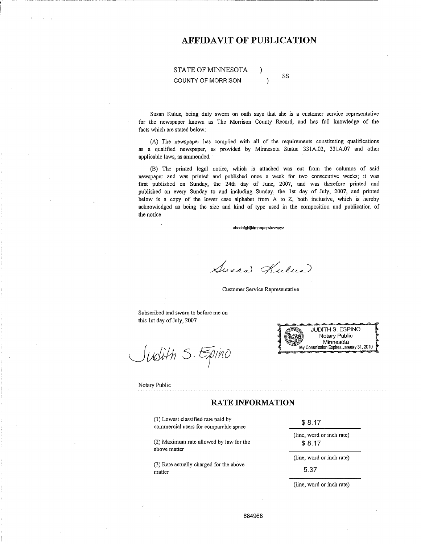# **AFFIDAVIT OF PUBLICATION**

#### STATE OF MINNESOTA SS **COUNTY OF MORRISON**  $\lambda$

Susan Kulus, being duly sworn on oath says that she is a customer service representative for the newspaper known as The Morrison County Record, and has full knowledge of the facts which are stated below:

(A) The newspaper has complied with all of the requirements constituting qualifications as a qualified newspaper, as provided by Minnesota Statue 331A.02, 331A.07 and other applicable laws, as ammended.

(B) The printed legal notice, which is attached was cut from the columns of said newspaper and was printed and published once a week for two consecutive weeks; it was first published on Sunday, the 24th day of June, 2007, and was therefore printed and published on every Sunday to and including Sunday, the 1st day of July, 2007, and printed below is a copy of the lower case alphabet from A to Z, both inclusive, which is hereby acknowledged as being the size and kind of type used in the composition and publication of the notice

abcdefghijklmnopqrstuvwxyz

Suran Kulua

Customer Service Representative

Subscribed and sworn to before me on this 1st day of July, 2007

Judith S. Epino



Notary Public

#### **RATE INFORMATION**

(1) Lowest classified rate paid by commercial users for comparable space

(2) Maximum rate allowed by law for the above matter

(3) Rate actually charged for the above matter

 $$8.17$ 

(line, word or inch rate)  $$8.17$ 

(line, word or inch rate)

5.37

(line, word or inch rate)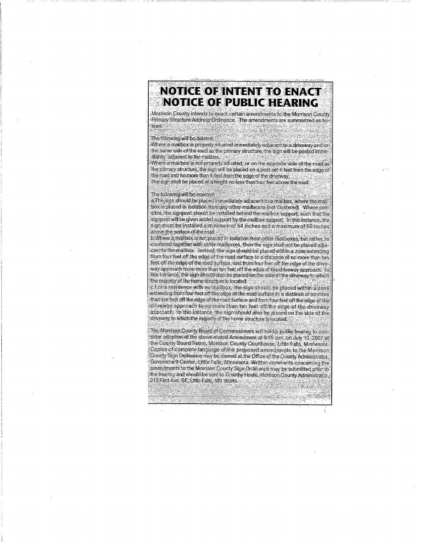# NOT CEOF NITENT TO ENACT **NOTICE OF PUBLIC HEARING**

Morrison County intends to enact certain amendments to the Morrison County Primary Structure Address Ordinance. The amendments are summarized as fol-ะได้เพร่

e Asia

# The following will be deleted:

Where a mailbox is properly situated immediately adjacent to a driveway and on the same side of the road as the primary structure, the sign will be posted immediately adjacent to the mailbox. Where a mailbox is not properly situated, or on the opposite side of the road as the primary structure, the sign will be placed on a post set 4 feet from the edge of

the road and no more than 4 feet from the edge of the driveway. The sign shall be placed at a height no less than four feet above the road.

#### The following will be inserted:

a. The sign should be placed immediately adiacent to a mailbox, where the mailbox is placed in isolation from any other mailboxes (not clustered). Where possible, the signpost should be installed behind the mailbox support, such that the signpost will be given added support by the mailbox support, In this instance, the sign must be installed a minimum of 54 inches and a maximum of 60 inches. above the surface of the road.

b. Where a mailbox is not placed in isolation from other mailboxes, but rather is clustered together with other mailboxes, then the sign shall not be placed adjacentito the mailbox. Instead, the sign should be placed within a zone extending from four feet off the edge of the road surface to a distance of no more than ten feet off the edge of the road surface, and from four feet off the edge of the driveway approach to no more than ten feet off the edge of the driveway approach. In this instance, the sign should also be placed on the side of the driveway to which the majority of the home structure is located.

c.For a residence with no mailbox, the sign should be placed within a zone extending from four feet off the edge of the road surface to a distance of no more than ten feet off the edge of the road surface and from four feet off the edge of the driveway approach to no more than ten feet off the edge of the driveway approach. In this instance, the sign should also be placed on the side of the driveway to which the majority of the home structure is located.

The Morrison County Board of Commissioners will hold a public hearing to consider adoption of the above stated Amendment at 9:45 a.m. on July 10, 2007 at the County Board Room, Morrison County Courthouse, Little Falls, Minnesota, Copies of complete language of the proposed amendments to the Morrison County Sign Ordinance may be viewed at the Office of the County Administrator, Government Center, Little Falls, Minnesota. Written comments concerning the amendments to the Morrison County Sign Ordinance may be submitted prior to the hearing and should be sent to Timothy Houle, Morrison County Administrator, 213 First Ave. SE, Little Falls, MN 56345.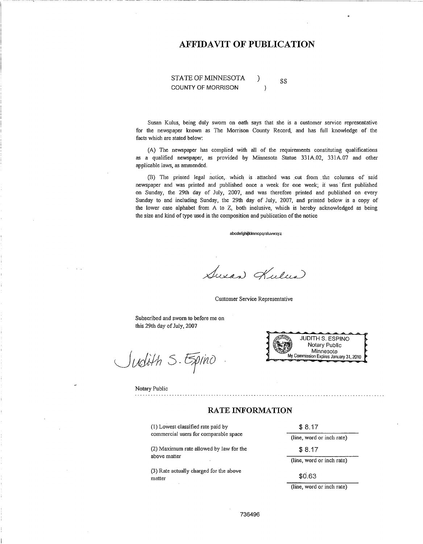# **AFFIDAVIT OF PUBLICATION**

#### STATE OF MINNESOTA € SS **COUNTY OF MORRISON**  $\lambda$

Susan Kulus, being duly sworn on oath says that she is a customer service representative for the newspaper known as The Morrison County Record, and has full knowledge of the facts which are stated below:

(A) The newspaper has complied with all of the requirements constituting qualifications as a qualified newspaper, as provided by Minnesota Statue 331A,02, 331A,07 and other applicable laws, as ammended.

(B) The printed legal notice, which is attached was cut from the columns of said newspaper and was printed and published once a week for one week; it was first published on Sunday, the 29th day of July, 2007, and was therefore printed and published on every Sunday to and including Sunday, the 29th day of July, 2007, and printed below is a copy of the lower case alphabet from A to Z, both inclusive, which is hereby acknowledged as being the size and kind of type used in the composition and publication of the notice

abcdefghijklmnopqrstuvwxyz

Suxan Kulua

Customer Service Representative

Subscribed and sworn to before me on this 29th day of July, 2007

Judith S. Epino

**JUDITH S. ESPINO** Notary Public Minnesota My Commission Expires January 31, 2010

Notary Public

#### **RATE INFORMATION**

(1) Lowest classified rate paid by commercial users for comparable space

(2) Maximum rate allowed by law for the above matter

(3) Rate actually charged for the above matter

 $$8.17$ 

(line, word or inch rate)

 $$8.17$ 

(line, word or inch rate)

\$0.63

(line, word or inch rate)